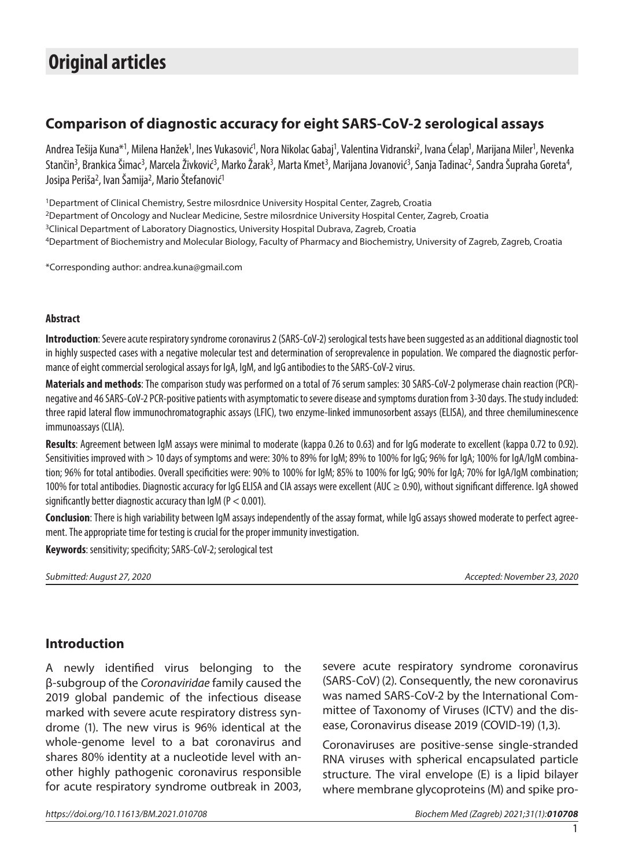# **Original articles**

# **Comparison of diagnostic accuracy for eight SARS-CoV-2 serological assays**

Andrea Tešija Kuna\*<sup>1</sup>, Milena Hanžek<sup>1</sup>, Ines Vukasović<sup>1</sup>, Nora Nikolac Gabaj<sup>1</sup>, Valentina Vidranski<sup>2</sup>, Ivana Ćelap<sup>1</sup>, Marijana Miler<sup>1</sup>, Nevenka Stančin<sup>3</sup>, Brankica Šimac<sup>3</sup>, Marcela Živković<sup>3</sup>, Marko Žarak<sup>3</sup>, Marta Kmet<sup>3</sup>, Marijana Jovanović<sup>3</sup>, Sanja Tadinac<sup>2</sup>, Sandra Šupraha Goreta<sup>4</sup>, Josipa Periša<sup>2</sup>, Ivan Šamija<sup>2</sup>, Mario Štefanović<sup>1</sup>

1Department of Clinical Chemistry, Sestre milosrdnice University Hospital Center, Zagreb, Croatia 2Department of Oncology and Nuclear Medicine, Sestre milosrdnice University Hospital Center, Zagreb, Croatia <sup>3</sup>Clinical Department of Laboratory Diagnostics, University Hospital Dubrava, Zagreb, Croatia 4Department of Biochemistry and Molecular Biology, Faculty of Pharmacy and Biochemistry, University of Zagreb, Zagreb, Croatia

\*Corresponding author: [andrea.kuna@gmail.com](mailto:andrea.kuna@gmail.com)

#### **Abstract**

**Introduction**: Severe acute respiratory syndrome coronavirus 2 (SARS-CoV-2) serological tests have been suggested as an additional diagnostic tool in highly suspected cases with a negative molecular test and determination of seroprevalence in population. We compared the diagnostic performance of eight commercial serological assays for IgA, IgM, and IgG antibodies to the SARS-CoV-2 virus.

**Materials and methods**: The comparison study was performed on a total of 76 serum samples: 30 SARS-CoV-2 polymerase chain reaction (PCR) negative and 46 SARS-CoV-2 PCR-positive patients with asymptomatic to severe disease and symptoms duration from 3-30 days. The study included: three rapid lateral flow immunochromatographic assays (LFIC), two enzyme-linked immunosorbent assays (ELISA), and three chemiluminescence immunoassays (CLIA).

**Results**: Agreement between IgM assays were minimal to moderate (kappa 0.26 to 0.63) and for IgG moderate to excellent (kappa 0.72 to 0.92). Sensitivities improved with > 10 days of symptoms and were: 30% to 89% for IgM; 89% to 100% for IgG; 96% for IgA; 100% for IgA/IgM combination; 96% for total antibodies. Overall specificities were: 90% to 100% for IgM; 85% to 100% for IgG; 90% for IgA; 70% for IgA/IgM combination; 100% for total antibodies. Diagnostic accuracy for IgG ELISA and CIA assays were excellent (AUC ≥ 0.90), without significant difference. IgA showed significantly better diagnostic accuracy than  $\frac{1}{9}$  (P  $<$  0.001).

**Conclusion**: There is high variability between IgM assays independently of the assay format, while IgG assays showed moderate to perfect agreement. The appropriate time for testing is crucial for the proper immunity investigation.

**Keywords**: sensitivity; specificity; SARS-CoV-2; serological test

*Submitted: August 27, 2020 Accepted: November 23, 2020*

## **Introduction**

A newly identified virus belonging to the β-subgroup of the *Coronaviridae* family caused the 2019 global pandemic of the infectious disease marked with severe acute respiratory distress syndrome (1). The new virus is 96% identical at the whole-genome level to a bat coronavirus and shares 80% identity at a nucleotide level with another highly pathogenic coronavirus responsible for acute respiratory syndrome outbreak in 2003, severe acute respiratory syndrome coronavirus (SARS-CoV) (2). Consequently, the new coronavirus was named SARS-CoV-2 by the International Committee of Taxonomy of Viruses (ICTV) and the disease, Coronavirus disease 2019 (COVID-19) (1,3).

Coronaviruses are positive-sense single-stranded RNA viruses with spherical encapsulated particle structure. The viral envelope (E) is a lipid bilayer where membrane glycoproteins (M) and spike pro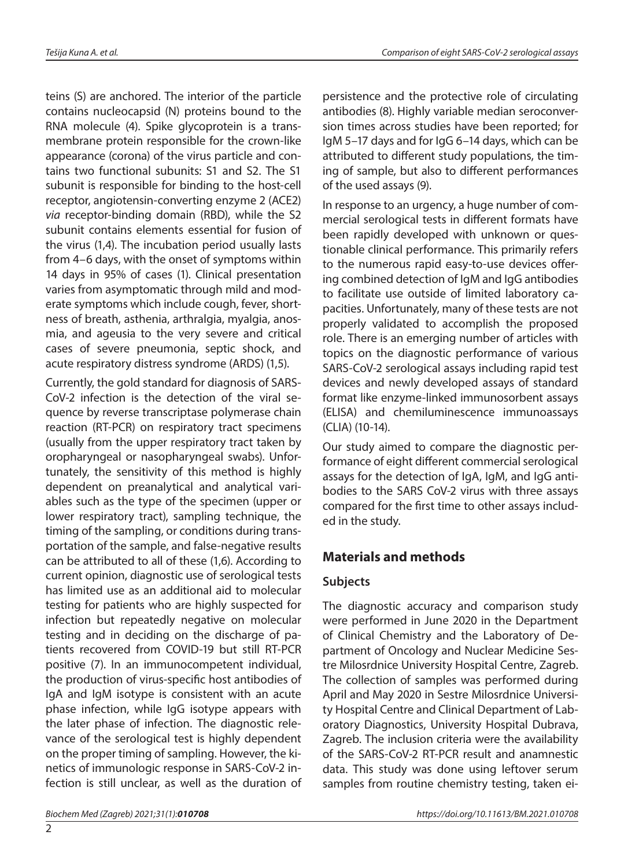teins (S) are anchored. The interior of the particle contains nucleocapsid (N) proteins bound to the RNA molecule (4). Spike glycoprotein is a transmembrane protein responsible for the crown-like appearance (corona) of the virus particle and contains two functional subunits: S1 and S2. The S1 subunit is responsible for binding to the host-cell receptor, angiotensin-converting enzyme 2 (ACE2) *via* receptor-binding domain (RBD), while the S2 subunit contains elements essential for fusion of the virus (1,4). The incubation period usually lasts from 4–6 days, with the onset of symptoms within 14 days in 95% of cases (1). Clinical presentation varies from asymptomatic through mild and moderate symptoms which include cough, fever, shortness of breath, asthenia, arthralgia, myalgia, anosmia, and ageusia to the very severe and critical cases of severe pneumonia, septic shock, and acute respiratory distress syndrome (ARDS) (1,5).

Currently, the gold standard for diagnosis of SARS-CoV-2 infection is the detection of the viral sequence by reverse transcriptase polymerase chain reaction (RT-PCR) on respiratory tract specimens (usually from the upper respiratory tract taken by oropharyngeal or nasopharyngeal swabs). Unfortunately, the sensitivity of this method is highly dependent on preanalytical and analytical variables such as the type of the specimen (upper or lower respiratory tract), sampling technique, the timing of the sampling, or conditions during transportation of the sample, and false-negative results can be attributed to all of these (1,6). According to current opinion, diagnostic use of serological tests has limited use as an additional aid to molecular testing for patients who are highly suspected for infection but repeatedly negative on molecular testing and in deciding on the discharge of patients recovered from COVID-19 but still RT-PCR positive (7). In an immunocompetent individual, the production of virus-specific host antibodies of IgA and IgM isotype is consistent with an acute phase infection, while IgG isotype appears with the later phase of infection. The diagnostic relevance of the serological test is highly dependent on the proper timing of sampling. However, the kinetics of immunologic response in SARS-CoV-2 infection is still unclear, as well as the duration of

 $\mathfrak{D}$ 

persistence and the protective role of circulating antibodies (8). Highly variable median seroconversion times across studies have been reported; for IgM 5–17 days and for IgG 6–14 days, which can be attributed to different study populations, the timing of sample, but also to different performances of the used assays (9).

In response to an urgency, a huge number of commercial serological tests in different formats have been rapidly developed with unknown or questionable clinical performance. This primarily refers to the numerous rapid easy-to-use devices offering combined detection of IgM and IgG antibodies to facilitate use outside of limited laboratory capacities. Unfortunately, many of these tests are not properly validated to accomplish the proposed role. There is an emerging number of articles with topics on the diagnostic performance of various SARS-CoV-2 serological assays including rapid test devices and newly developed assays of standard format like enzyme-linked immunosorbent assays (ELISA) and chemiluminescence immunoassays (CLIA) (10-14).

Our study aimed to compare the diagnostic performance of eight different commercial serological assays for the detection of IgA, IgM, and IgG antibodies to the SARS CoV-2 virus with three assays compared for the first time to other assays included in the study.

## **Materials and methods**

## **Subjects**

The diagnostic accuracy and comparison study were performed in June 2020 in the Department of Clinical Chemistry and the Laboratory of Department of Oncology and Nuclear Medicine Sestre Milosrdnice University Hospital Centre, Zagreb. The collection of samples was performed during April and May 2020 in Sestre Milosrdnice University Hospital Centre and Clinical Department of Laboratory Diagnostics, University Hospital Dubrava, Zagreb. The inclusion criteria were the availability of the SARS-CoV-2 RT-PCR result and anamnestic data. This study was done using leftover serum samples from routine chemistry testing, taken ei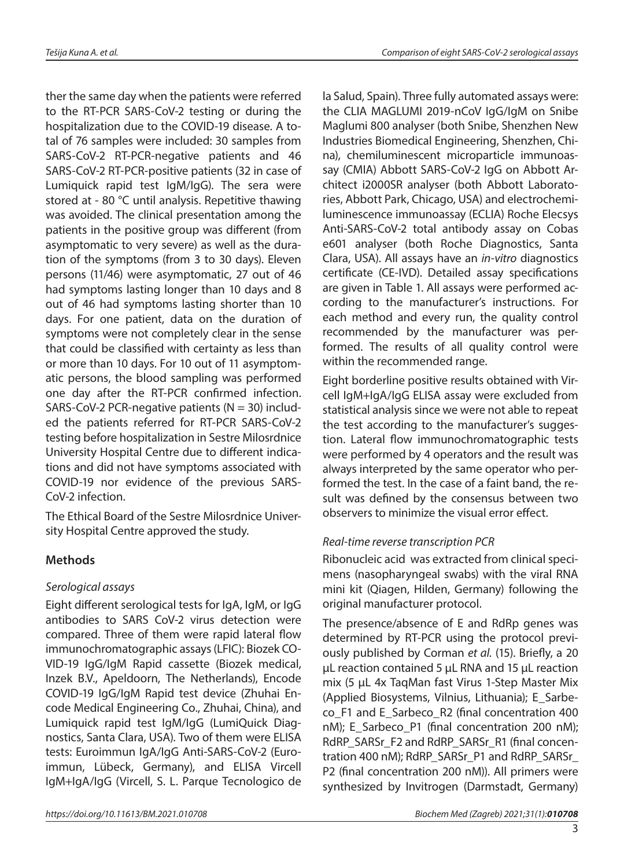ther the same day when the patients were referred to the RT-PCR SARS-CoV-2 testing or during the hospitalization due to the COVID-19 disease. A total of 76 samples were included: 30 samples from SARS-CoV-2 RT-PCR-negative patients and 46 SARS-CoV-2 RT-PCR-positive patients (32 in case of Lumiquick rapid test IgM/IgG). The sera were stored at - 80 °C until analysis. Repetitive thawing was avoided. The clinical presentation among the patients in the positive group was different (from asymptomatic to very severe) as well as the duration of the symptoms (from 3 to 30 days). Eleven persons (11/46) were asymptomatic, 27 out of 46 had symptoms lasting longer than 10 days and 8 out of 46 had symptoms lasting shorter than 10 days. For one patient, data on the duration of symptoms were not completely clear in the sense that could be classified with certainty as less than or more than 10 days. For 10 out of 11 asymptomatic persons, the blood sampling was performed one day after the RT-PCR confirmed infection. SARS-CoV-2 PCR-negative patients ( $N = 30$ ) included the patients referred for RT-PCR SARS-CoV-2 testing before hospitalization in Sestre Milosrdnice University Hospital Centre due to different indications and did not have symptoms associated with COVID-19 nor evidence of the previous SARS-CoV-2 infection.

The Ethical Board of the Sestre Milosrdnice University Hospital Centre approved the study.

## **Methods**

#### *Serological assays*

Eight different serological tests for IgA, IgM, or IgG antibodies to SARS CoV-2 virus detection were compared. Three of them were rapid lateral flow immunochromatographic assays (LFIC): Biozek CO-VID-19 IgG/IgM Rapid cassette (Biozek medical, Inzek B.V., Apeldoorn, The Netherlands), Encode COVID-19 IgG/IgM Rapid test device (Zhuhai Encode Medical Engineering Co., Zhuhai, China), and Lumiquick rapid test IgM/IgG (LumiQuick Diagnostics, Santa Clara, USA). Two of them were ELISA tests: Euroimmun IgA/IgG Anti-SARS-CoV-2 (Euroimmun, Lübeck, Germany), and ELISA Vircell IgM+IgA/IgG (Vircell, S. L. Parque Tecnologico de la Salud, Spain). Three fully automated assays were: the CLIA MAGLUMI 2019-nCoV IgG/IgM on Snibe Maglumi 800 analyser (both Snibe, Shenzhen New Industries Biomedical Engineering, Shenzhen, China), chemiluminescent microparticle immunoassay (CMIA) Abbott SARS-CoV-2 IgG on Abbott Architect i2000SR analyser (both Abbott Laboratories, Abbott Park, Chicago, USA) and electrochemiluminescence immunoassay (ECLIA) Roche Elecsys Anti-SARS-CoV-2 total antibody assay on Cobas e601 analyser (both Roche Diagnostics, Santa Clara, USA). All assays have an *in-vitro* diagnostics certificate (CE-IVD). Detailed assay specifications are given in Table 1. All assays were performed according to the manufacturer's instructions. For each method and every run, the quality control recommended by the manufacturer was performed. The results of all quality control were within the recommended range.

Eight borderline positive results obtained with Vircell IgM+IgA/IgG ELISA assay were excluded from statistical analysis since we were not able to repeat the test according to the manufacturer's suggestion. Lateral flow immunochromatographic tests were performed by 4 operators and the result was always interpreted by the same operator who performed the test. In the case of a faint band, the result was defined by the consensus between two observers to minimize the visual error effect.

#### *Real-time reverse transcription PCR*

Ribonucleic acid was extracted from clinical specimens (nasopharyngeal swabs) with the viral RNA mini kit (Qiagen, Hilden, Germany) following the original manufacturer protocol.

The presence/absence of E and RdRp genes was determined by RT-PCR using the protocol previously published by Corman *et al.* (15). Briefly, a 20 µL reaction contained 5 µL RNA and 15 µL reaction mix (5 µL 4x TaqMan fast Virus 1-Step Master Mix (Applied Biosystems, Vilnius, Lithuania); E\_Sarbeco\_F1 and E\_Sarbeco\_R2 (final concentration 400 nM); E\_Sarbeco\_P1 (final concentration 200 nM); RdRP\_SARSr\_F2 and RdRP\_SARSr\_R1 (final concentration 400 nM); RdRP\_SARSr\_P1 and RdRP\_SARSr\_ P2 (final concentration 200 nM)). All primers were synthesized by Invitrogen (Darmstadt, Germany)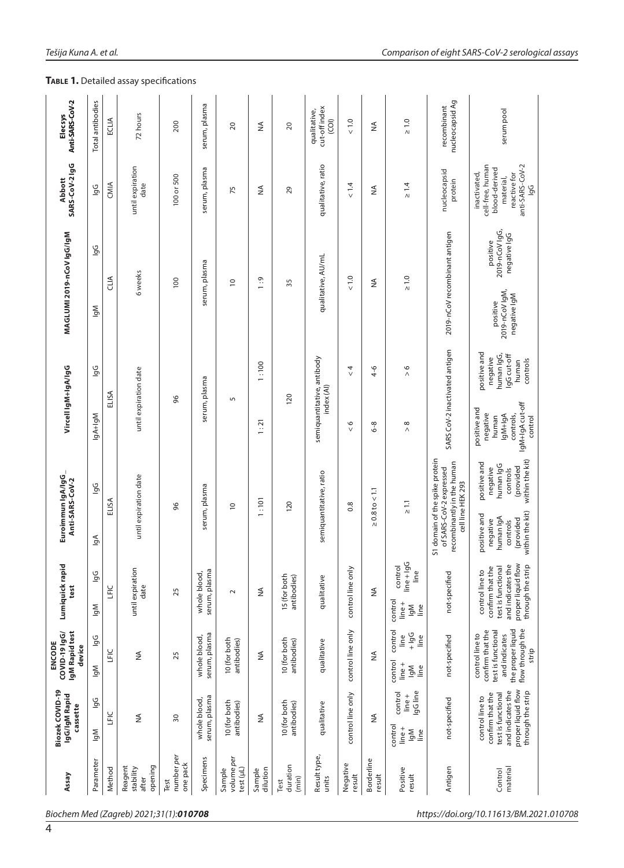| Anti-SARS-CoV-2<br><b>Elecsys</b>                   | Total antibodies                        | ECLIA  | 72 hours                                 | 200                            | serum, plasma                 | $\Omega$                          | ≨                  | $\overline{c}$              | cut-off index<br>qualitative,<br>$\widehat{c}$ | $\frac{0}{2}$        | ≨                    | $\geq 1.0$                                                                        | nucleocapsid Ag<br>recombinant                                                                               | serum pool                                                                                                                              |
|-----------------------------------------------------|-----------------------------------------|--------|------------------------------------------|--------------------------------|-------------------------------|-----------------------------------|--------------------|-----------------------------|------------------------------------------------|----------------------|----------------------|-----------------------------------------------------------------------------------|--------------------------------------------------------------------------------------------------------------|-----------------------------------------------------------------------------------------------------------------------------------------|
| SARS-CoV-2 IgG<br><b>Abbott</b>                     | <u>و</u>                                | CMIA   | until expiration<br>date                 | 100 or 500                     | serum, plasma                 | 75                                | ≨                  | 29                          | qualitative, ratio                             | $\frac{4}{14}$       | ₹                    | $\geq 1.4$                                                                        | nucleocapsid<br>protein                                                                                      | cell-free, human<br>anti-SARS-CoV-2<br>blood-derived<br>inactivated,<br>reactive for<br>material,<br><u>b</u> o                         |
| MAGLUMI 2019-nCoV 1gG/1gM                           | 9G<br>Mpl                               | A⊔A    | 6 weeks                                  | 100                            | serum, plasma                 | $\overline{c}$                    | 1:9                | 35                          | qualitative, AU/mL                             | $\frac{0}{2}$        | ≨                    | $\geq 1.0$                                                                        | 2019-nCoV recombinant antigen                                                                                | 2019-nCoV lgG,<br>negative IgG<br>positive<br>2019-nCoV IgM,<br>negative IgM<br>positive                                                |
|                                                     | 9q                                      |        |                                          |                                |                               |                                   | 1:100              |                             |                                                | $\frac{4}{\sqrt{2}}$ | $^{4-6}$             | $\frac{6}{2}$                                                                     |                                                                                                              | positive and<br>human IgG,<br>lgG cut-off<br>negative<br>controls<br>human                                                              |
|                                                     | Vircell IgM+IgA/IgG<br>ELISA<br>lgA+lgM |        | until expiration date                    | 96                             | serum, plasma                 | S                                 | 1:21               | 120                         | semiquantitative, antibody<br>index (AI)       | $\frac{6}{5}$        | $6 - 8$              | $^{\circ}$<br>$\wedge$                                                            | SARS CoV-2 inactivated antigen                                                                               | IgM+IgAcut-off<br>positive and<br>negative<br>controls,<br>lgM+lgA<br>control<br>human                                                  |
| Euroimmun IgA/IgG_<br>Anti-SARS-CoV-2               | <u>ig</u>                               | ELISA  | until expiration date                    | 96                             | serum, plasma                 | $\overline{c}$                    | 1:101              | <b>120</b>                  | semiquantitative, ratio                        | 0.8                  | $\ge 0.8$ to $< 1.1$ | $\frac{1}{2}$                                                                     | S1 domain of the spike protein<br>recombinantly in the human<br>of SARS-CoV-2 expressed<br>cell line HEK 293 | within the kit)<br>positive and<br>human IgG<br>(provided<br>negative<br>controls                                                       |
|                                                     | $\mathbb{R}$                            |        |                                          |                                |                               |                                   |                    |                             |                                                |                      |                      |                                                                                   |                                                                                                              | within the kit)<br>positive and<br>human IgA<br>(provided<br>negative<br>controls                                                       |
| Lumiquick rapid<br>test                             | 9G<br>Μpl                               | Ĕ      | until expiration<br>date                 | 25                             | serum, plasma<br>whole blood, | $\sim$                            | ≨                  | 15 (for both<br>antibodies) | qualitative                                    | control line only    | ≸                    | $line + 19G$<br>control<br>Line<br>control<br>$line +$<br>lgM<br>line             | not-specified                                                                                                | proper liquid flow<br>through the strip<br>and indicates the<br>test is functional<br>confirm that the<br>$\overline{c}$<br>controlline |
| IgM Rapid test<br>COVID-19 IgG/<br>ENCODE<br>device | <b>Do</b><br>ΙgΜ                        | š      | ₹                                        | 25                             | serum, plasma<br>whole blood, | 10 (for both<br>antibodies)       | ≸                  | 10 (for both<br>antibodies) | qualitative                                    | control line only    | ₹                    | control<br>$-\frac{56}{7}$<br><u>e</u><br>Ĵ<br>control<br>$line +$<br>Μbl<br>line | not-specified                                                                                                | test is functional<br>the proper liquid<br>flow through the<br>confirm that the<br>control line to<br>and indicates<br>strip            |
| Biozek COVID-19<br>IgG/IgM Rapid<br>cassette        | 9q<br>$\mathbb{Z}$                      | Ĕ      | $\stackrel{\triangle}{\geq}$             | $\overline{\mathrm{S}}$        | serum, plasma<br>whole blood, | 10 (for both<br>antibodies)       | ≸                  | 10 (for both<br>antibodies) | qualitative                                    | control line only    | ≸                    | lgG line<br>control<br>$line +$<br>control<br>$line +$<br>lgM<br>line             | not-specified                                                                                                | proper liquid flow<br>and indicates the<br>through the strip<br>test is functional<br>confirm that the<br>control line to               |
| Assay                                               | Parameter                               | Method | opening<br>Reagent<br>stability<br>after | number per<br>one pack<br>Test | Specimens                     | volume per<br>test (µL)<br>Sample | dilution<br>Sample | duration<br>(min)<br>Test   | Result type,<br>units                          | Negative<br>result   | Borderline<br>result | Positive<br>result                                                                | Antigen                                                                                                      | material<br>Control                                                                                                                     |

#### **TABLE 1.** Detailed assay specifications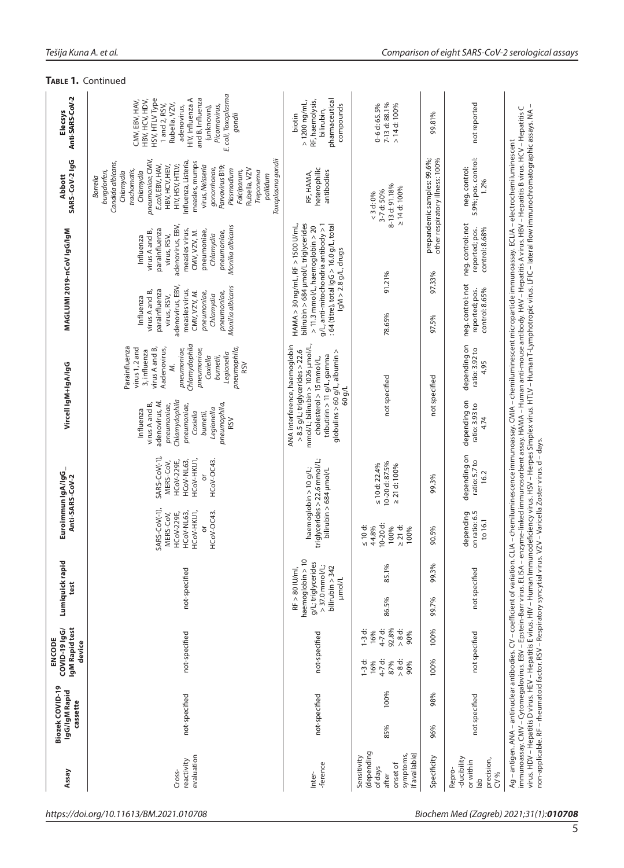|                                                     | TABLE 1. Continued                                                                                                                                                                                                                                                                                                                                              |                                                                                                                                                                    |                                                                                                                                                                                                                                                                                                   |                                                                |                                                                           |
|-----------------------------------------------------|-----------------------------------------------------------------------------------------------------------------------------------------------------------------------------------------------------------------------------------------------------------------------------------------------------------------------------------------------------------------|--------------------------------------------------------------------------------------------------------------------------------------------------------------------|---------------------------------------------------------------------------------------------------------------------------------------------------------------------------------------------------------------------------------------------------------------------------------------------------|----------------------------------------------------------------|---------------------------------------------------------------------------|
| Anti-SARS-CoV-2<br>Elecsys                          | E. coli, Toxoplasma<br>HIV, Influenza A<br>and B, Influenza<br>HSV, HTLV Type<br>CMV, EBV, HAV,<br>HBV, HCV, HDV,<br>Rubella, VZV,<br>1 and 2, RSV,<br>Picornavirus,<br>adenovirus,<br>(unknown),<br>gondii                                                                                                                                                     | pharmaceutical<br>RF, haemolysis,<br>$>1200$ ng/mL,<br>compounds<br>bilirubin,<br>biotin                                                                           | 7-13 d: 88.1%<br>$0 - 6$ d: 65.5%<br>$> 14$ d: $100%$                                                                                                                                                                                                                                             | 99.81%                                                         | not reported                                                              |
| <b>SARS-CoV-21gG</b><br>Abbott                      | Toxoplasma gondii<br>pneumoniae, CMV,<br>Influenza, Listeria<br>measles, mumps<br>Candida albicans,<br>E.coli, EBV, HAV,<br>HBV, HCV, HEV,<br>HIV, HSV, HTLV;<br>virus, Neisseria<br>Parvovirus B19<br>gonorrhoeae,<br>Plasmodium<br>trachomatis,<br>Rubella, VZV<br>Falciparum,<br>Treponema<br>burgdorferi,<br>Chlamydia<br>Chlamydia<br>pallidum<br>Borrelia | heterophilic<br>antibodies<br>RF, HAMA,                                                                                                                            | 8-13 d: 91.18%<br>$\geq 14$ d: $100\%$<br>3-7 d: 50%<br>< 3 d: 0%                                                                                                                                                                                                                                 | prepandemic samples: 99.6%;<br>other respiratory illness: 100% | 5.9%; pos. control:<br>neg.control:<br>1.2%                               |
|                                                     | adenovirus, EBV,<br>Monilia albicans<br>parainfluenza<br>measles virus,<br>virus A and B,<br>CMV, VZV, M.<br>pneumoniae,<br>pneumoniae,<br>Chlamydia<br>virus, RSV,<br>Influenza                                                                                                                                                                                |                                                                                                                                                                    |                                                                                                                                                                                                                                                                                                   |                                                                | neg.control:not<br>reported; pos.<br>control: 8.68%                       |
| MAGLUMI 2019-nCoV 1gG/1gM                           | adenovirus, EBV,<br>Monilia albicans<br>parainfluenza<br>measles virus,<br>virus A and B,<br>CMV, VZV, M.<br>pneumoniae,<br>pneumoniae,<br>Chlamydia<br>virus, RSV,<br>Influenza                                                                                                                                                                                | bilirubin > 684 µmol/L triglycerides<br>g/L, anti-mitochondria antibody > 1<br>$HAMA > 30$ ng/mL, $RF > 1500$ U/mL,<br>> 11.3 mmol/L, haemoglobin > 20             | : 64 (titre), total $\lg G$ > 16.0 $g/L$ , total<br>$lgM > 2.8$ $g/L$ , drugs<br>97.33%<br>91.21%<br>neg.control: not<br>control: 8.65%<br>reported; pos.<br>78.65%<br>97.5%<br>depending on<br>ratio: 3.92 to<br>$g$ lobulins > 60 $g/L$ , albumin ><br>not specified<br>not specified<br>60 g/L |                                                                |                                                                           |
|                                                     | Chlamydophila<br>Parainfluenza<br>pneumophila,<br>virus 1, 2 and<br>virus A and B,<br>Aadenovirus,<br>pneumoniae,<br>pneumoniae,<br>3, influenza<br>Legionella<br>Coxiella<br>burnetii,<br><b>RSV</b><br>Ź.                                                                                                                                                     |                                                                                                                                                                    |                                                                                                                                                                                                                                                                                                   |                                                                |                                                                           |
| Vircell IgM+IgA/IgG                                 | Chlamydophila<br>adenovirus, M.<br>virus A and B,<br>pneumophila,<br>pneumoniae,<br>pneumoniae,<br>Legionella<br>Influenza<br>Coxiella<br>burnetii,<br><b>RSV</b>                                                                                                                                                                                               | mmol/L; bilirubin > 1026 µmol/L,<br>ANA interference, haemoglobin<br>$> 8.5$ g/L; triglycerides $> 22.6$<br>tributirin > 11 g/L, gamma<br>cholesterol > 15 mmol/L, |                                                                                                                                                                                                                                                                                                   |                                                                | depending on<br>ratio: 3.93 to<br>4.74                                    |
| Euroimmun IgA/IgG<br>Anti-SARS-CoV-2                | SARS-CoV(-1)<br>HCoV-HKU1,<br>HCoV-OC43<br>HCoV-NL63,<br>HCoV-229E,<br>MERS-CoV,                                                                                                                                                                                                                                                                                | triglycerides > 22.6 mmol/L;<br>haemoglobin > 10 g/L;<br>bilirubin > 684 µmol/L                                                                                    | 10-20 d: 87.5%<br>$\leq 10$ d: 22.4%<br>$\geq$ 21 d: 100%                                                                                                                                                                                                                                         | 99.3%                                                          | depending on<br>ratio: 5.7 to<br>16.2                                     |
|                                                     | $SARS-CoV(-1)$<br>HCoV-HKU1,<br>HCoV-OC43.<br>HCoV-NL63,<br>HCoV-229E,<br>MERS-CoV,                                                                                                                                                                                                                                                                             |                                                                                                                                                                    | 10-20 d:<br>$\leq 10$ d:<br>44.8%<br>$\geq 21$ d:<br>100%<br>100%                                                                                                                                                                                                                                 | 90.5%                                                          | on ratio: 6.5<br>depending<br>to 16.1                                     |
| Lumiquickrapid<br>test                              | not-specified                                                                                                                                                                                                                                                                                                                                                   | haemoglobin > 10<br>g/L;triglycerides<br>$>$ 37.0 mmol/L;<br>bilirubin $> 342$<br>$RF > 80$ lu/ml,<br><b>Huunol/L</b>                                              | 85.1%                                                                                                                                                                                                                                                                                             | 99.3%                                                          | not specified                                                             |
|                                                     |                                                                                                                                                                                                                                                                                                                                                                 |                                                                                                                                                                    | 86.5%                                                                                                                                                                                                                                                                                             | 99.7%                                                          |                                                                           |
| IgM Rapid test<br>COVID-19 IgG/<br>ENCODE<br>device | not-specified                                                                                                                                                                                                                                                                                                                                                   | not-specified                                                                                                                                                      | 92.8%<br>4-7 d:<br>$1-3$ d:<br>> 8 d<br>16%<br>90%                                                                                                                                                                                                                                                | 100%                                                           | not specified                                                             |
|                                                     |                                                                                                                                                                                                                                                                                                                                                                 |                                                                                                                                                                    | 4-7 d:<br>$1-3$ d:<br>$> 8$ d:<br>16%<br>87%<br>90%                                                                                                                                                                                                                                               | 100%                                                           |                                                                           |
| Biozek COVID-19<br>IgG/IgM Rapid<br>cassette        | not-specified                                                                                                                                                                                                                                                                                                                                                   | not-specified                                                                                                                                                      | 100%<br>85%                                                                                                                                                                                                                                                                                       | 98%<br>96%                                                     | not specified                                                             |
| Assay                                               | evaluation<br>reactivity<br>Cross-                                                                                                                                                                                                                                                                                                                              | -ference<br>Inter-                                                                                                                                                 | (depending<br>if available)<br>symptoms,<br>Sensitivity<br>onset of<br>of days<br>after                                                                                                                                                                                                           | Specificity                                                    | -ducibility<br>precision,<br>or within<br>Repro-<br>CV %<br>$\frac{1}{6}$ |

*https://doi.org/10.11613/BM.2021.010708 Biochem Med (Zagreb) 2021;31(1):010708*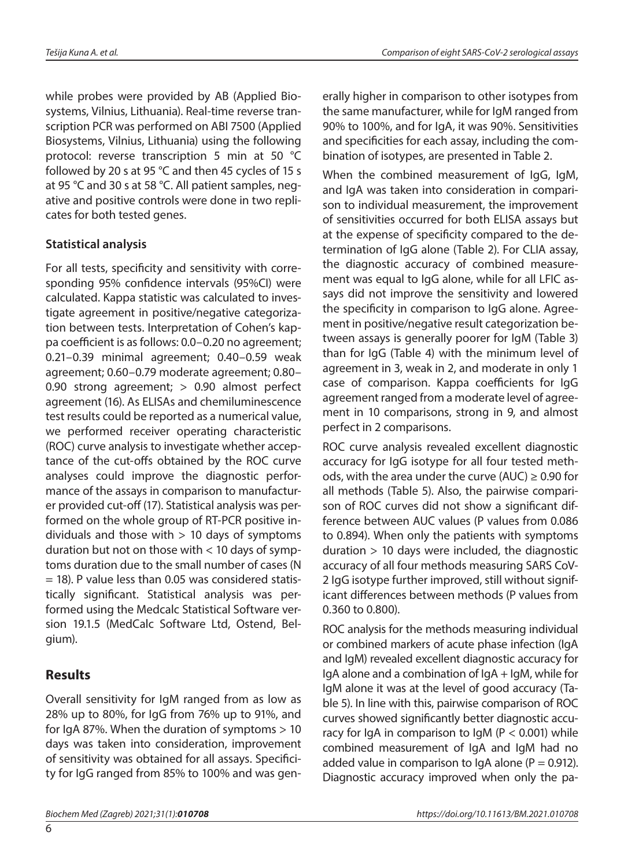while probes were provided by AB (Applied Biosystems, Vilnius, Lithuania). Real-time reverse transcription PCR was performed on ABI 7500 (Applied Biosystems, Vilnius, Lithuania) using the following protocol: reverse transcription 5 min at 50 °C followed by 20 s at 95 °C and then 45 cycles of 15 s at 95 °C and 30 s at 58 °C. All patient samples, negative and positive controls were done in two replicates for both tested genes.

#### **Statistical analysis**

For all tests, specificity and sensitivity with corresponding 95% confidence intervals (95%CI) were calculated. Kappa statistic was calculated to investigate agreement in positive/negative categorization between tests. Interpretation of Cohen's kappa coefficient is as follows: 0.0–0.20 no agreement; 0.21–0.39 minimal agreement; 0.40–0.59 weak agreement; 0.60–0.79 moderate agreement; 0.80– 0.90 strong agreement; > 0.90 almost perfect agreement (16). As ELISAs and chemiluminescence test results could be reported as a numerical value, we performed receiver operating characteristic (ROC) curve analysis to investigate whether acceptance of the cut-offs obtained by the ROC curve analyses could improve the diagnostic performance of the assays in comparison to manufacturer provided cut-off (17). Statistical analysis was performed on the whole group of RT-PCR positive individuals and those with  $> 10$  days of symptoms duration but not on those with < 10 days of symptoms duration due to the small number of cases (N = 18). P value less than 0.05 was considered statistically significant. Statistical analysis was performed using the Medcalc Statistical Software version 19.1.5 (MedCalc Software Ltd, Ostend, Belgium).

## **Results**

Overall sensitivity for IgM ranged from as low as 28% up to 80%, for IgG from 76% up to 91%, and for IgA 87%. When the duration of symptoms > 10 days was taken into consideration, improvement of sensitivity was obtained for all assays. Specificity for IgG ranged from 85% to 100% and was generally higher in comparison to other isotypes from the same manufacturer, while for IgM ranged from 90% to 100%, and for IgA, it was 90%. Sensitivities and specificities for each assay, including the combination of isotypes, are presented in Table 2.

When the combined measurement of IgG, IgM, and IgA was taken into consideration in comparison to individual measurement, the improvement of sensitivities occurred for both ELISA assays but at the expense of specificity compared to the determination of IgG alone (Table 2). For CLIA assay, the diagnostic accuracy of combined measurement was equal to IgG alone, while for all LFIC assays did not improve the sensitivity and lowered the specificity in comparison to IgG alone. Agreement in positive/negative result categorization between assays is generally poorer for IgM (Table 3) than for IgG (Table 4) with the minimum level of agreement in 3, weak in 2, and moderate in only 1 case of comparison. Kappa coefficients for IgG agreement ranged from a moderate level of agreement in 10 comparisons, strong in 9, and almost perfect in 2 comparisons.

ROC curve analysis revealed excellent diagnostic accuracy for IgG isotype for all four tested methods, with the area under the curve (AUC)  $\geq$  0.90 for all methods (Table 5). Also, the pairwise comparison of ROC curves did not show a significant difference between AUC values (P values from 0.086 to 0.894). When only the patients with symptoms duration > 10 days were included, the diagnostic accuracy of all four methods measuring SARS CoV-2 IgG isotype further improved, still without significant differences between methods (P values from 0.360 to 0.800).

ROC analysis for the methods measuring individual or combined markers of acute phase infection (IgA and IgM) revealed excellent diagnostic accuracy for IgA alone and a combination of IgA + IgM, while for IgM alone it was at the level of good accuracy (Table 5). In line with this, pairwise comparison of ROC curves showed significantly better diagnostic accuracy for IgA in comparison to IgM ( $P < 0.001$ ) while combined measurement of IgA and IgM had no added value in comparison to IgA alone ( $P = 0.912$ ). Diagnostic accuracy improved when only the pa-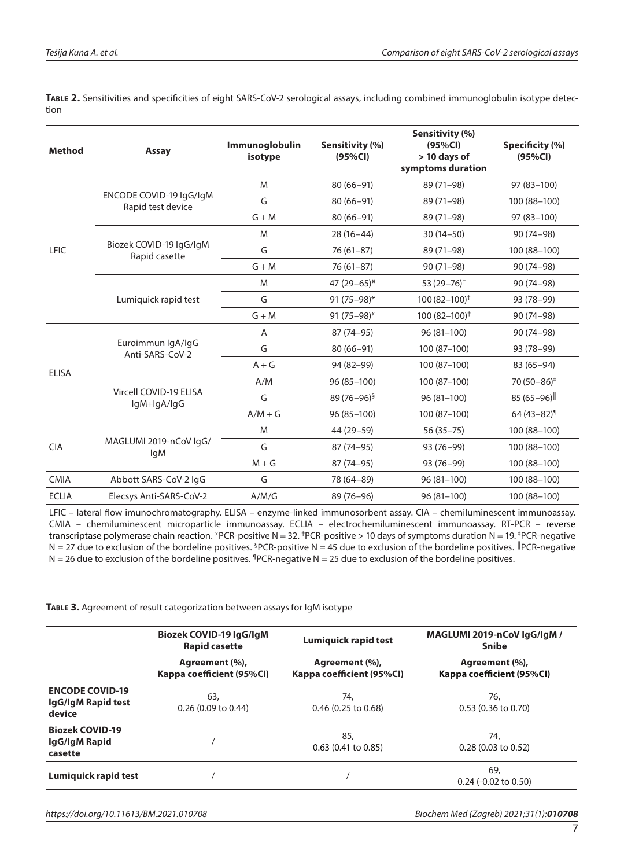**Table 2.** Sensitivities and specificities of eight SARS-CoV-2 serological assays, including combined immunoglobulin isotype detection

| <b>Method</b> | <b>Assay</b>                                 | <b>Immunoglobulin</b><br>isotype | Sensitivity (%)<br>(95%CI) | Sensitivity (%)<br>(95%CI)<br>$> 10$ days of<br>symptoms duration | Specificity (%)<br>(95%CI) |
|---------------|----------------------------------------------|----------------------------------|----------------------------|-------------------------------------------------------------------|----------------------------|
|               |                                              | M                                | $80(66 - 91)$              | 89 (71-98)                                                        | 97 (83-100)                |
|               | ENCODE COVID-19 IgG/IgM<br>Rapid test device | G                                | $80(66 - 91)$              | 89 (71-98)                                                        | 100 (88-100)               |
|               |                                              | $G + M$                          | $80(66 - 91)$              | 89 (71-98)                                                        | 97 (83-100)                |
|               |                                              | M                                | $28(16-44)$                | $30(14-50)$                                                       | 90 (74-98)                 |
| LFIC          | Biozek COVID-19 IgG/IgM<br>Rapid casette     | G                                | $76(61-87)$                | 89 (71-98)                                                        | 100 (88-100)               |
|               |                                              | $G + M$                          | $76(61-87)$                | $90(71-98)$                                                       | $90(74-98)$                |
|               |                                              | M                                | 47 $(29-65)$ *             | 53 $(29 - 76)^{+}$                                                | $90(74-98)$                |
|               | Lumiquick rapid test                         | G                                | 91 $(75-98)^*$             | $100(82 - 100)^{+}$                                               | 93 (78-99)                 |
|               |                                              | $G + M$                          | 91 $(75-98)$ *             | $100(82-100)^{+}$                                                 | $90(74-98)$                |
|               |                                              | Α                                | 87 (74-95)                 | $96(81-100)$                                                      | $90(74-98)$                |
|               | Euroimmun IgA/IgG<br>Anti-SARS-CoV-2         | G                                | $80(66 - 91)$              | 100 (87-100)                                                      | 93 (78-99)                 |
| <b>ELISA</b>  |                                              | $A + G$                          | 94 (82-99)                 | 100 (87-100)                                                      | $83(65-94)$                |
|               |                                              | A/M                              | $96(85-100)$               | 100 (87-100)                                                      | 70 (50-86) <sup>‡</sup>    |
|               | Vircell COVID-19 ELISA<br>lgM+lgA/lgG        | G                                | 89 (76-96) <sup>§</sup>    | $96(81-100)$                                                      | $85(65-96)$                |
|               |                                              | $A/M + G$                        | $96(85-100)$               | 100 (87-100)                                                      | $64(43-82)$                |
| <b>CIA</b>    |                                              | M                                | 44 (29-59)                 | $56(35-75)$                                                       | 100 (88-100)               |
|               | MAGLUMI 2019-nCoV IgG/<br>lgM                | G                                | 87 (74-95)                 | 93 (76-99)                                                        | 100 (88-100)               |
|               |                                              | $M + G$                          | 87 (74-95)                 | 93 (76-99)                                                        | 100 (88-100)               |
| <b>CMIA</b>   | Abbott SARS-CoV-2 IgG                        | G                                | 78 (64-89)                 | 96 (81-100)                                                       | 100 (88-100)               |
| <b>ECLIA</b>  | Elecsys Anti-SARS-CoV-2                      | A/M/G                            | 89 (76-96)                 | $96(81-100)$                                                      | 100 (88-100)               |

LFIC – lateral flow imunochromatography. ELISA – enzyme-linked immunosorbent assay. CIA – chemiluminescent immunoassay. CMIA – chemiluminescent microparticle immunoassay. ECLIA – electrochemiluminescent immunoassay. RT-PCR – reverse transcriptase polymerase chain reaction. \*PCR-positive N = 32. <sup>†</sup>PCR-positive > 10 days of symptoms duration N = 19. <sup>‡</sup>PCR-negative N = 27 due to exclusion of the bordeline positives. <sup>§</sup>PCR-positive N = 45 due to exclusion of the bordeline positives. <sup>∥</sup>PCR-negative  $N = 26$  due to exclusion of the bordeline positives. <sup>1</sup>PCR-negative  $N = 25$  due to exclusion of the bordeline positives.

**Table 3.** Agreement of result categorization between assays for IgM isotype

|                                                        | Biozek COVID-19 IgG/IgM<br><b>Rapid casette</b> | Lumiquick rapid test                        | MAGLUMI 2019-nCoV IgG/IgM /<br><b>Snibe</b> |  |  |
|--------------------------------------------------------|-------------------------------------------------|---------------------------------------------|---------------------------------------------|--|--|
|                                                        | Agreement (%),<br>Kappa coefficient (95%CI)     | Agreement (%),<br>Kappa coefficient (95%CI) | Agreement (%),<br>Kappa coefficient (95%CI) |  |  |
| <b>ENCODE COVID-19</b><br>IgG/IgM Rapid test<br>device | 63.<br>$0.26(0.09)$ to $0.44$ )                 | 74.<br>$0.46$ (0.25 to 0.68)                | 76,<br>$0.53(0.36 \text{ to } 0.70)$        |  |  |
| <b>Biozek COVID-19</b><br>IgG/IgM Rapid<br>casette     |                                                 | 85,<br>$0.63$ (0.41 to 0.85)                | 74.<br>$0.28$ (0.03 to 0.52)                |  |  |
| Lumiquick rapid test                                   |                                                 |                                             | 69,<br>$0.24$ (-0.02 to 0.50)               |  |  |

*https://doi.org/10.11613/BM.2021.010708 Biochem Med (Zagreb) 2021;31(1):010708*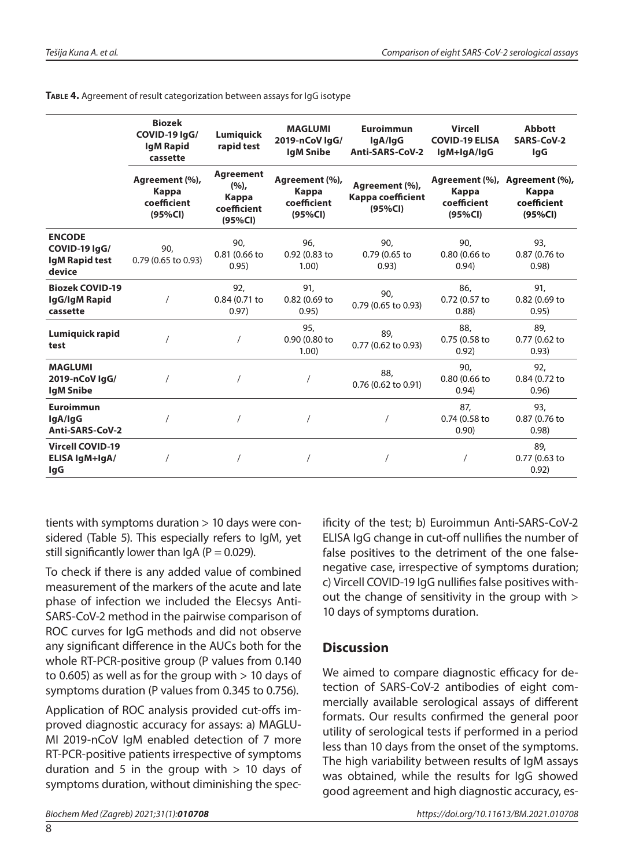|                                                                   | <b>Biozek</b><br>COVID-19 IgG/<br><b>IgM Rapid</b><br>cassette | Lumiquick<br>rapid test                                     | <b>MAGLUMI</b><br>2019-nCoV lgG/<br><b>IgM Snibe</b> | <b>Euroimmun</b><br>lgA/lgG<br>Anti-SARS-CoV-2 | <b>Vircell</b><br><b>COVID-19 ELISA</b><br>IgM+IgA/IgG | <b>Abbott</b><br>SARS-CoV-2<br>lgG<br>Agreement (%),<br>Kappa<br>coefficient<br>(95%CI) |  |
|-------------------------------------------------------------------|----------------------------------------------------------------|-------------------------------------------------------------|------------------------------------------------------|------------------------------------------------|--------------------------------------------------------|-----------------------------------------------------------------------------------------|--|
|                                                                   | Agreement (%),<br>Kappa<br>coefficient<br>(95%CI)              | <b>Agreement</b><br>(%),<br>Kappa<br>coefficient<br>(95%CI) | Agreement (%),<br>Kappa<br>coefficient<br>(95%CI)    | Agreement (%),<br>Kappa coefficient<br>(95%CI) | Agreement (%),<br>Kappa<br>coefficient<br>(95%CI)      |                                                                                         |  |
| <b>ENCODE</b><br>COVID-19 lgG/<br><b>IgM Rapid test</b><br>device | 90,<br>0.79 (0.65 to 0.93)                                     | 90,<br>0.81 (0.66 to<br>0.95)                               | 96.<br>0.92 (0.83 to<br>1.00                         | 90.<br>0.79 (0.65 to<br>0.93)                  | 90.<br>0.80 (0.66 to<br>0.94)                          | 93,<br>0.87 (0.76 to<br>0.98                                                            |  |
| <b>Biozek COVID-19</b><br>IgG/IgM Rapid<br>cassette               |                                                                | 92,<br>0.84 (0.71 to<br>0.97)                               | 91,<br>0.82 (0.69 to<br>0.95)                        | 90.<br>0.79 (0.65 to 0.93)                     | 86,<br>0.72 (0.57 to<br>(0.88)                         | 91.<br>0.82 (0.69 to<br>0.95)                                                           |  |
| Lumiquick rapid<br>test                                           |                                                                |                                                             | 95,<br>0.90 (0.80 to<br>1.00)                        | 89,<br>0.77 (0.62 to 0.93)                     | 88,<br>0.75 (0.58 to<br>0.92)                          | 89.<br>0.77 (0.62 to<br>0.93)                                                           |  |
| <b>MAGLUMI</b><br>2019-nCoV IgG/<br><b>IgM Snibe</b>              |                                                                |                                                             |                                                      | 88,<br>0.76 (0.62 to 0.91)                     | 90.<br>0.80 (0.66 to<br>0.94)                          | 92,<br>0.84 (0.72 to<br>0.96)                                                           |  |
| <b>Euroimmun</b><br>lgA/lgG<br>Anti-SARS-CoV-2                    |                                                                |                                                             |                                                      |                                                | 87.<br>0.74 (0.58 to<br>0.90)                          | 93,<br>0.87 (0.76 to<br>0.98)                                                           |  |
| <b>Vircell COVID-19</b><br>ELISA IgM+IgA/<br>lgG                  |                                                                |                                                             |                                                      |                                                |                                                        | 89.<br>0.77 (0.63 to<br>0.92)                                                           |  |

**Table 4.** Agreement of result categorization between assays for IgG isotype

tients with symptoms duration > 10 days were considered (Table 5). This especially refers to IgM, yet still significantly lower than  $\mathsf{I}$  qA (P = 0.029).

To check if there is any added value of combined measurement of the markers of the acute and late phase of infection we included the Elecsys Anti-SARS-CoV-2 method in the pairwise comparison of ROC curves for IgG methods and did not observe any significant difference in the AUCs both for the whole RT-PCR-positive group (P values from 0.140 to 0.605) as well as for the group with  $> 10$  days of symptoms duration (P values from 0.345 to 0.756).

Application of ROC analysis provided cut-offs improved diagnostic accuracy for assays: a) MAGLU-MI 2019-nCoV IgM enabled detection of 7 more RT-PCR-positive patients irrespective of symptoms duration and 5 in the group with  $> 10$  days of symptoms duration, without diminishing the spec-

ificity of the test; b) Euroimmun Anti-SARS-CoV-2 ELISA IgG change in cut-off nullifies the number of false positives to the detriment of the one falsenegative case, irrespective of symptoms duration; c) Vircell COVID-19 IgG nullifies false positives without the change of sensitivity in the group with > 10 days of symptoms duration.

## **Discussion**

We aimed to compare diagnostic efficacy for detection of SARS-CoV-2 antibodies of eight commercially available serological assays of different formats. Our results confirmed the general poor utility of serological tests if performed in a period less than 10 days from the onset of the symptoms. The high variability between results of IgM assays was obtained, while the results for IgG showed good agreement and high diagnostic accuracy, es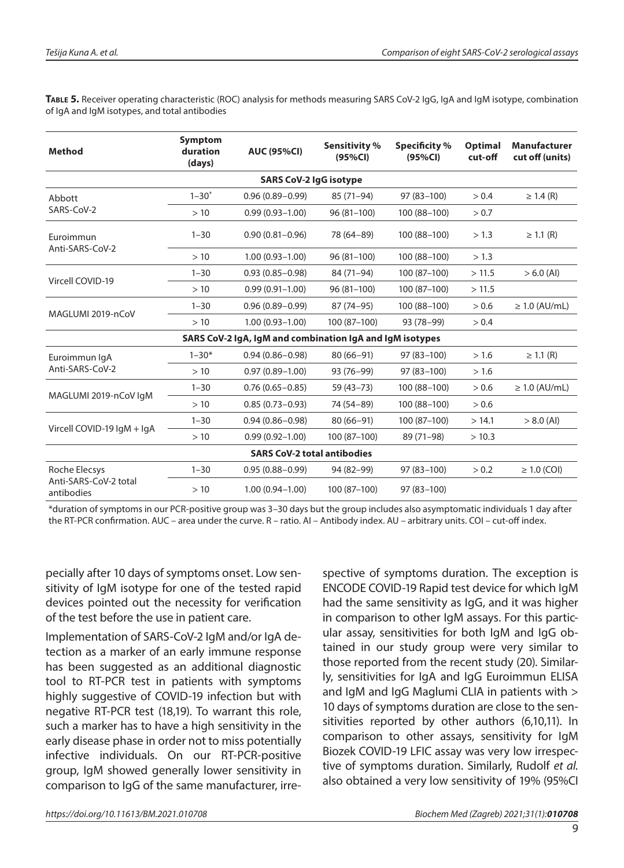**Table 5.** Receiver operating characteristic (ROC) analysis for methods measuring SARS CoV-2 IgG, IgA and IgM isotype, combination of IgA and IgM isotypes, and total antibodies

| <b>Method</b>                                            | <b>Symptom</b><br>duration<br><b>AUC (95%CI)</b><br>(days) |                     | Sensitivity %<br>(95%CI) | <b>Specificity</b> %<br>(95%CI) | <b>Optimal</b><br>cut-off | <b>Manufacturer</b><br>cut off (units) |  |  |  |  |
|----------------------------------------------------------|------------------------------------------------------------|---------------------|--------------------------|---------------------------------|---------------------------|----------------------------------------|--|--|--|--|
| <b>SARS CoV-2 IgG isotype</b>                            |                                                            |                     |                          |                                 |                           |                                        |  |  |  |  |
| Abbott                                                   | $1 - 30^*$                                                 | $0.96(0.89 - 0.99)$ | $85(71-94)$              | 97 (83-100)                     | > 0.4                     | $\geq 1.4$ (R)                         |  |  |  |  |
| SARS-CoV-2                                               | >10                                                        | $0.99(0.93 - 1.00)$ | $96(81-100)$             | 100 (88-100)                    | > 0.7                     |                                        |  |  |  |  |
| Euroimmun                                                | $1 - 30$                                                   | $0.90(0.81 - 0.96)$ | 78 (64-89)               | 100 (88-100)                    | > 1.3                     | $\geq$ 1.1 (R)                         |  |  |  |  |
| Anti-SARS-CoV-2                                          | >10                                                        | $1.00(0.93 - 1.00)$ | $96(81-100)$             | 100 (88-100)                    | > 1.3                     |                                        |  |  |  |  |
| Vircell COVID-19                                         | $1 - 30$                                                   | $0.93(0.85 - 0.98)$ | 84 (71-94)               | 100 (87-100)                    | >11.5                     | $> 6.0$ (Al)                           |  |  |  |  |
|                                                          | >10                                                        | $0.99(0.91 - 1.00)$ | 96 (81-100)              | 100 (87-100)                    | >11.5                     |                                        |  |  |  |  |
| MAGLUMI 2019-nCoV                                        | $1 - 30$                                                   | $0.96(0.89 - 0.99)$ | $87(74-95)$              | 100 (88-100)                    | > 0.6                     | $\geq 1.0$ (AU/mL)                     |  |  |  |  |
|                                                          | >10                                                        | $1.00(0.93 - 1.00)$ | 100 (87-100)             | 93 (78-99)                      | > 0.4                     |                                        |  |  |  |  |
| SARS CoV-2 IgA, IgM and combination IgA and IgM isotypes |                                                            |                     |                          |                                 |                           |                                        |  |  |  |  |
| Euroimmun IqA                                            | $1 - 30*$                                                  | $0.94(0.86 - 0.98)$ | $80(66-91)$              | 97 (83-100)                     | > 1.6                     | $\geq$ 1.1 (R)                         |  |  |  |  |
| Anti-SARS-CoV-2                                          | >10                                                        | $0.97(0.89 - 1.00)$ | 93 (76-99)               | 97 (83-100)                     | > 1.6                     |                                        |  |  |  |  |
| MAGLUMI 2019-nCoV IgM                                    | $1 - 30$                                                   | $0.76(0.65 - 0.85)$ | $59(43-73)$              | 100 (88-100)                    | > 0.6                     | $\geq 1.0$ (AU/mL)                     |  |  |  |  |
|                                                          | >10                                                        | $0.85(0.73 - 0.93)$ | 74 (54-89)               | 100 (88-100)                    | > 0.6                     |                                        |  |  |  |  |
|                                                          | $1 - 30$                                                   | $0.94(0.86 - 0.98)$ | $80(66-91)$              | 100 (87-100)                    | > 14.1                    | $> 8.0$ (Al)                           |  |  |  |  |
| Vircell COVID-19 IgM + IgA                               | >10                                                        | $0.99(0.92 - 1.00)$ | 100 (87-100)             | 89 (71-98)                      | > 10.3                    |                                        |  |  |  |  |
| <b>SARS CoV-2 total antibodies</b>                       |                                                            |                     |                          |                                 |                           |                                        |  |  |  |  |
| Roche Elecsys                                            | $1 - 30$                                                   | $0.95(0.88 - 0.99)$ | 94 (82-99)               | 97 (83-100)                     | > 0.2                     | $\geq$ 1.0 (COI)                       |  |  |  |  |
| Anti-SARS-CoV-2 total<br>antibodies                      | >10                                                        | $1.00(0.94 - 1.00)$ | 100 (87-100)             | 97 (83-100)                     |                           |                                        |  |  |  |  |

\*duration of symptoms in our PCR-positive group was 3–30 days but the group includes also asymptomatic individuals 1 day after the RT-PCR confirmation. AUC – area under the curve. R – ratio. AI – Antibody index. AU – arbitrary units. COI – cut-off index.

pecially after 10 days of symptoms onset. Low sensitivity of IgM isotype for one of the tested rapid devices pointed out the necessity for verification of the test before the use in patient care.

Implementation of SARS-CoV-2 IgM and/or IgA detection as a marker of an early immune response has been suggested as an additional diagnostic tool to RT-PCR test in patients with symptoms highly suggestive of COVID-19 infection but with negative RT-PCR test (18,19). To warrant this role, such a marker has to have a high sensitivity in the early disease phase in order not to miss potentially infective individuals. On our RT-PCR-positive group, IgM showed generally lower sensitivity in comparison to IgG of the same manufacturer, irrespective of symptoms duration. The exception is ENCODE COVID-19 Rapid test device for which IgM had the same sensitivity as IgG, and it was higher in comparison to other IgM assays. For this particular assay, sensitivities for both IgM and IgG obtained in our study group were very similar to those reported from the recent study (20). Similarly, sensitivities for IgA and IgG Euroimmun ELISA and IgM and IgG Maglumi CLIA in patients with > 10 days of symptoms duration are close to the sensitivities reported by other authors (6,10,11). In comparison to other assays, sensitivity for IgM Biozek COVID-19 LFIC assay was very low irrespective of symptoms duration. Similarly, Rudolf *et al.* also obtained a very low sensitivity of 19% (95%CI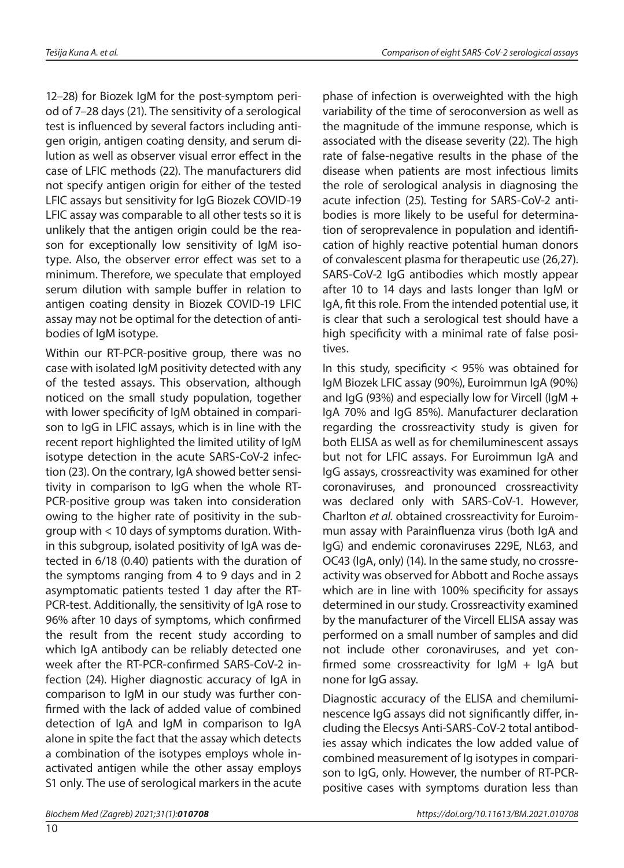12–28) for Biozek IgM for the post-symptom period of 7–28 days (21). The sensitivity of a serological test is influenced by several factors including antigen origin, antigen coating density, and serum dilution as well as observer visual error effect in the case of LFIC methods (22). The manufacturers did not specify antigen origin for either of the tested LFIC assays but sensitivity for IgG Biozek COVID-19 LFIC assay was comparable to all other tests so it is unlikely that the antigen origin could be the reason for exceptionally low sensitivity of IgM isotype. Also, the observer error effect was set to a minimum. Therefore, we speculate that employed serum dilution with sample buffer in relation to antigen coating density in Biozek COVID-19 LFIC assay may not be optimal for the detection of antibodies of IgM isotype.

Within our RT-PCR-positive group, there was no case with isolated IgM positivity detected with any of the tested assays. This observation, although noticed on the small study population, together with lower specificity of IgM obtained in comparison to IgG in LFIC assays, which is in line with the recent report highlighted the limited utility of IgM isotype detection in the acute SARS-CoV-2 infection (23). On the contrary, IgA showed better sensitivity in comparison to IgG when the whole RT-PCR-positive group was taken into consideration owing to the higher rate of positivity in the subgroup with < 10 days of symptoms duration. Within this subgroup, isolated positivity of IgA was detected in 6/18 (0.40) patients with the duration of the symptoms ranging from 4 to 9 days and in 2 asymptomatic patients tested 1 day after the RT-PCR-test. Additionally, the sensitivity of IgA rose to 96% after 10 days of symptoms, which confirmed the result from the recent study according to which IgA antibody can be reliably detected one week after the RT-PCR-confirmed SARS-CoV-2 infection (24). Higher diagnostic accuracy of IgA in comparison to IgM in our study was further confirmed with the lack of added value of combined detection of IgA and IgM in comparison to IgA alone in spite the fact that the assay which detects a combination of the isotypes employs whole inactivated antigen while the other assay employs S1 only. The use of serological markers in the acute

phase of infection is overweighted with the high variability of the time of seroconversion as well as the magnitude of the immune response, which is associated with the disease severity (22). The high rate of false-negative results in the phase of the disease when patients are most infectious limits the role of serological analysis in diagnosing the acute infection (25). Testing for SARS-CoV-2 antibodies is more likely to be useful for determination of seroprevalence in population and identification of highly reactive potential human donors of convalescent plasma for therapeutic use (26,27). SARS-CoV-2 IgG antibodies which mostly appear after 10 to 14 days and lasts longer than IgM or IgA, fit this role. From the intended potential use, it is clear that such a serological test should have a high specificity with a minimal rate of false positives.

In this study, specificity  $<$  95% was obtained for IgM Biozek LFIC assay (90%), Euroimmun IgA (90%) and IgG (93%) and especially low for Vircell (IgM + IgA 70% and IgG 85%). Manufacturer declaration regarding the crossreactivity study is given for both ELISA as well as for chemiluminescent assays but not for LFIC assays. For Euroimmun IgA and IgG assays, crossreactivity was examined for other coronaviruses, and pronounced crossreactivity was declared only with SARS-CoV-1. However, Charlton *et al.* obtained crossreactivity for Euroimmun assay with Parainfluenza virus (both IgA and IgG) and endemic coronaviruses 229E, NL63, and OC43 (IgA, only) (14). In the same study, no crossreactivity was observed for Abbott and Roche assays which are in line with 100% specificity for assays determined in our study. Crossreactivity examined by the manufacturer of the Vircell ELISA assay was performed on a small number of samples and did not include other coronaviruses, and yet confirmed some crossreactivity for  $IgM + IgA$  but none for IgG assay.

Diagnostic accuracy of the ELISA and chemiluminescence IgG assays did not significantly differ, including the Elecsys Anti-SARS-CoV-2 total antibodies assay which indicates the low added value of combined measurement of Ig isotypes in comparison to IgG, only. However, the number of RT-PCRpositive cases with symptoms duration less than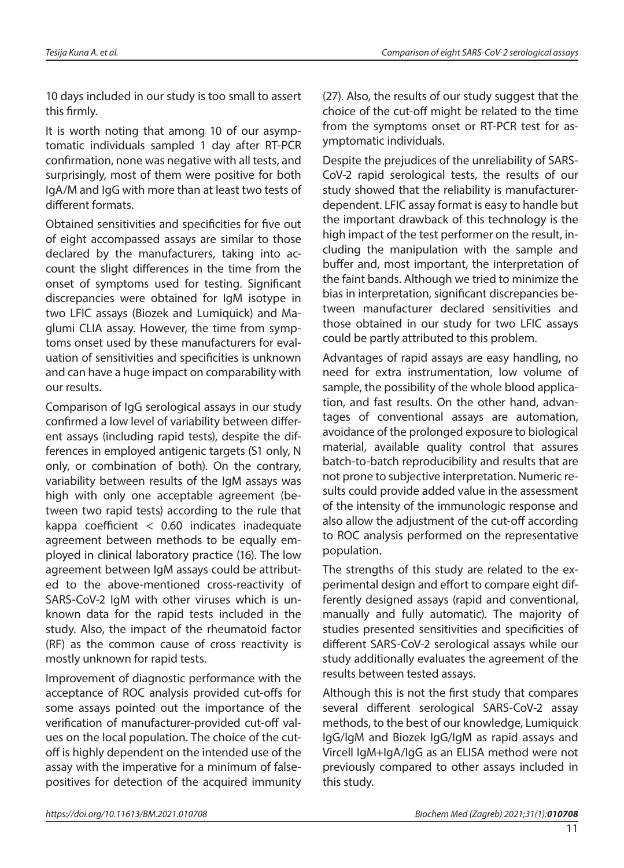10 days included in our study is too small to assert this firmly.

It is worth noting that among 10 of our asymptomatic individuals sampled 1 day after RT-PCR confirmation, none was negative with all tests, and surprisingly, most of them were positive for both IgA/M and IgG with more than at least two tests of different formats.

Obtained sensitivities and specificities for five out of eight accompassed assays are similar to those declared by the manufacturers, taking into account the slight differences in the time from the onset of symptoms used for testing. Significant discrepancies were obtained for IgM isotype in two LFIC assays (Biozek and Lumiquick) and Maglumi CLIA assay. However, the time from symptoms onset used by these manufacturers for evaluation of sensitivities and specificities is unknown and can have a huge impact on comparability with our results.

Comparison of IgG serological assays in our study confirmed a low level of variability between different assays (including rapid tests), despite the differences in employed antigenic targets (S1 only, N only, or combination of both). On the contrary, variability between results of the IgM assays was high with only one acceptable agreement (between two rapid tests) according to the rule that kappa coefficient < 0.60 indicates inadequate agreement between methods to be equally employed in clinical laboratory practice (16). The low agreement between IgM assays could be attributed to the above-mentioned cross-reactivity of SARS-CoV-2 IgM with other viruses which is unknown data for the rapid tests included in the study. Also, the impact of the rheumatoid factor (RF) as the common cause of cross reactivity is mostly unknown for rapid tests.

Improvement of diagnostic performance with the acceptance of ROC analysis provided cut-offs for some assays pointed out the importance of the verification of manufacturer-provided cut-off values on the local population. The choice of the cutoff is highly dependent on the intended use of the assay with the imperative for a minimum of falsepositives for detection of the acquired immunity (27). Also, the results of our study suggest that the choice of the cut-off might be related to the time from the symptoms onset or RT-PCR test for asymptomatic individuals.

Despite the prejudices of the unreliability of SARS-CoV-2 rapid serological tests, the results of our study showed that the reliability is manufacturerdependent. LFIC assay format is easy to handle but the important drawback of this technology is the high impact of the test performer on the result, including the manipulation with the sample and buffer and, most important, the interpretation of the faint bands. Although we tried to minimize the bias in interpretation, significant discrepancies between manufacturer declared sensitivities and those obtained in our study for two LFIC assays could be partly attributed to this problem.

Advantages of rapid assays are easy handling, no need for extra instrumentation, low volume of sample, the possibility of the whole blood application, and fast results. On the other hand, advantages of conventional assays are automation, avoidance of the prolonged exposure to biological material, available quality control that assures batch-to-batch reproducibility and results that are not prone to subjective interpretation. Numeric results could provide added value in the assessment of the intensity of the immunologic response and also allow the adjustment of the cut-off according to ROC analysis performed on the representative population.

The strengths of this study are related to the experimental design and effort to compare eight differently designed assays (rapid and conventional, manually and fully automatic). The majority of studies presented sensitivities and specificities of different SARS-CoV-2 serological assays while our study additionally evaluates the agreement of the results between tested assays.

Although this is not the first study that compares several different serological SARS-CoV-2 assay methods, to the best of our knowledge, Lumiquick IgG/IgM and Biozek IgG/IgM as rapid assays and Vircell IgM+IgA/IgG as an ELISA method were not previously compared to other assays included in this study.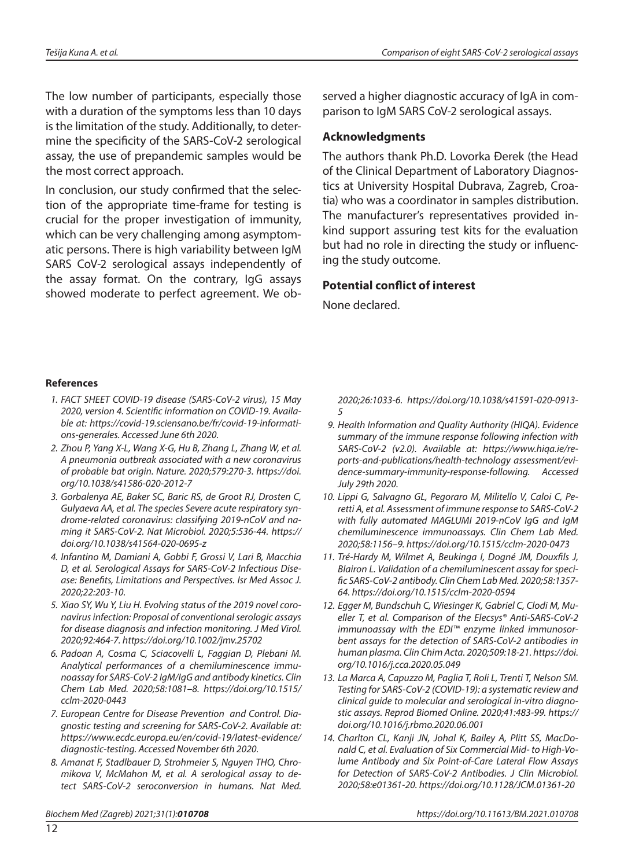The low number of participants, especially those with a duration of the symptoms less than 10 days is the limitation of the study. Additionally, to determine the specificity of the SARS-CoV-2 serological assay, the use of prepandemic samples would be the most correct approach.

In conclusion, our study confirmed that the selection of the appropriate time-frame for testing is crucial for the proper investigation of immunity, which can be very challenging among asymptomatic persons. There is high variability between IgM SARS CoV-2 serological assays independently of the assay format. On the contrary, IgG assays showed moderate to perfect agreement. We observed a higher diagnostic accuracy of IgA in comparison to IgM SARS CoV-2 serological assays.

#### **Acknowledgments**

The authors thank Ph.D. Lovorka Đerek (the Head of the Clinical Department of Laboratory Diagnostics at University Hospital Dubrava, Zagreb, Croatia) who was a coordinator in samples distribution. The manufacturer's representatives provided inkind support assuring test kits for the evaluation but had no role in directing the study or influencing the study outcome.

#### **Potential conflict of interest**

None declared.

#### **References**

- *1. FACT SHEET COVID-19 disease (SARS-CoV-2 virus), 15 May 2020, version 4. Scientific information on COVID-19. Available at: [https://covid-19.sciensano.be/fr/covid-19-informati](https://covid-19.sciensano.be/fr/covid-19-informations-generales)[ons-generales.](https://covid-19.sciensano.be/fr/covid-19-informations-generales) Accessed June 6th 2020.*
- *2. Zhou P, Yang X-L, Wang X-G, Hu B, Zhang L, Zhang W, et al. A pneumonia outbreak associated with a new coronavirus of probable bat origin. Nature. 2020;579:270-3. [https://doi.](https://doi.org/10.1038/s41586-020-2012-7) [org/10.1038/s41586-020-2012-7](https://doi.org/10.1038/s41586-020-2012-7)*
- *3. Gorbalenya AE, Baker SC, Baric RS, de Groot RJ, Drosten C, Gulyaeva AA, et al. The species Severe acute respiratory syndrome-related coronavirus: classifying 2019-nCoV and naming it SARS-CoV-2. Nat Microbiol. 2020;5:536-44. [https://](https://doi.org/10.1038/s41564-020-0695-z) [doi.org/10.1038/s41564-020-0695-z](https://doi.org/10.1038/s41564-020-0695-z)*
- *4. Infantino M, Damiani A, Gobbi F, Grossi V, Lari B, Macchia D, et al. Serological Assays for SARS-CoV-2 Infectious Disease: Benefits, Limitations and Perspectives. Isr Med Assoc J. 2020;22:203-10.*
- *5. Xiao SY, Wu Y, Liu H. Evolving status of the 2019 novel coronavirus infection: Proposal of conventional serologic assays for disease diagnosis and infection monitoring. J Med Virol. 2020;92:464-7.<https://doi.org/10.1002/jmv.25702>*
- *6. Padoan A, Cosma C, Sciacovelli L, Faggian D, Plebani M. Analytical performances of a chemiluminescence immunoassay for SARS-CoV-2 IgM/IgG and antibody kinetics. Clin Chem Lab Med. 2020;58:1081–8. [https://doi.org/10.1515/](https://doi.org/10.1515/cclm-2020-0443) [cclm-2020-0443](https://doi.org/10.1515/cclm-2020-0443)*
- *7. European Centre for Disease Prevention and Control. Diagnostic testing and screening for SARS-CoV-2. Available at: [https://www.ecdc.europa.eu/en/covid-19/latest-evidence/](https://www.ecdc.europa.eu/en/covid-19/latest-evidence/diagnostic-testing) [diagnostic-testing](https://www.ecdc.europa.eu/en/covid-19/latest-evidence/diagnostic-testing). Accessed November 6th 2020.*
- *8. Amanat F, Stadlbauer D, Strohmeier S, Nguyen THO, Chromikova V, McMahon M, et al. A serological assay to detect SARS-CoV-2 seroconversion in humans. Nat Med.*

*2020;26:1033-6. [https://doi.org/10.1038/s41591-020-0913-](https://doi.org/10.1038/s41591-020-0913-5) [5](https://doi.org/10.1038/s41591-020-0913-5)* 

- *9. Health Information and Quality Authority (HIQA). Evidence summary of the immune response following infection with SARS-CoV-2 (v2.0). Available at: [https://www.hiqa.ie/re](https://www.hiqa.ie/reports-and-publications/health-technology%20assessment/evidence-summary-immunity-response-following)[ports-and-publications/health-technology assessment/evi](https://www.hiqa.ie/reports-and-publications/health-technology%20assessment/evidence-summary-immunity-response-following)[dence-summary-immunity-response-following.](https://www.hiqa.ie/reports-and-publications/health-technology%20assessment/evidence-summary-immunity-response-following) Accessed July 29th 2020.*
- *10. Lippi G, Salvagno GL, Pegoraro M, Militello V, Caloi C, Peretti A, et al. Assessment of immune response to SARS-CoV-2 with fully automated MAGLUMI 2019-nCoV IgG and IgM chemiluminescence immunoassays. Clin Chem Lab Med. 2020;58:1156–9. <https://doi.org/10.1515/cclm-2020-0473>*
- *11. Tré-Hardy M, Wilmet A, Beukinga I, Dogné JM, Douxfils J, Blairon L. Validation of a chemiluminescent assay for specific SARS-CoV-2 antibody. Clin Chem Lab Med. 2020;58:1357- 64. <https://doi.org/10.1515/cclm-2020-0594>*
- *12. Egger M, Bundschuh C, Wiesinger K, Gabriel C, Clodi M, Mueller T, et al. Comparison of the Elecsys® Anti-SARS-CoV-2 immunoassay with the EDI™ enzyme linked immunosorbent assays for the detection of SARS-CoV-2 antibodies in human plasma. Clin Chim Acta. 2020;509:18-21. [https://doi.](https://doi.org/10.1016/j.cca.2020.05.049) [org/10.1016/j.cca.2020.05.049](https://doi.org/10.1016/j.cca.2020.05.049)*
- *13. La Marca A, Capuzzo M, Paglia T, Roli L, Trenti T, Nelson SM. Testing for SARS-CoV-2 (COVID-19): a systematic review and clinical guide to molecular and serological in-vitro diagnostic assays. Reprod Biomed Online. 2020;41:483-99. [https://](https://doi.org/10.1016/j.rbmo.2020.06.001) [doi.org/10.1016/j.rbmo.2020.06.001](https://doi.org/10.1016/j.rbmo.2020.06.001)*
- *14. Charlton CL, Kanji JN, Johal K, Bailey A, Plitt SS, MacDonald C, et al. Evaluation of Six Commercial Mid- to High-Volume Antibody and Six Point-of-Care Lateral Flow Assays for Detection of SARS-CoV-2 Antibodies. J Clin Microbiol. 2020;58:e01361-20. https://doi.org/10.1128/JCM.01361-20*